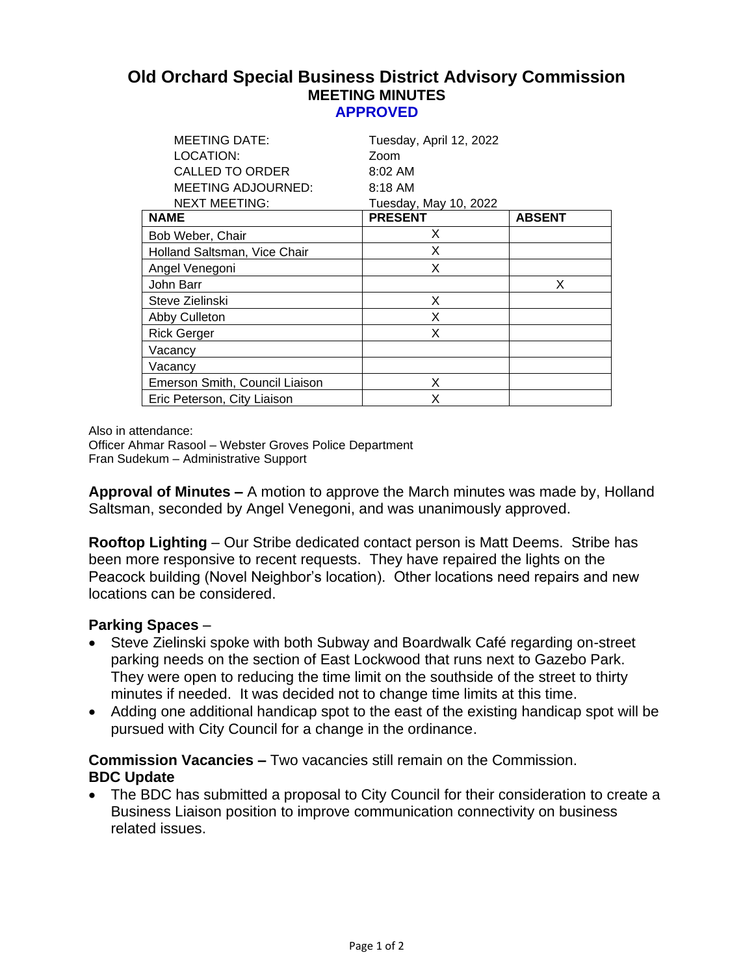## **Old Orchard Special Business District Advisory Commission MEETING MINUTES APPROVED**

| <b>MEETING DATE:</b>           | Tuesday, April 12, 2022 |               |
|--------------------------------|-------------------------|---------------|
| LOCATION:                      | Zoom                    |               |
| <b>CALLED TO ORDER</b>         | $8:02 \, \text{AM}$     |               |
| <b>MEETING ADJOURNED:</b>      | 8:18 AM                 |               |
| <b>NEXT MEETING:</b>           | Tuesday, May 10, 2022   |               |
| <b>NAME</b>                    | <b>PRESENT</b>          | <b>ABSENT</b> |
| Bob Weber, Chair               | X                       |               |
| Holland Saltsman, Vice Chair   | X                       |               |
| Angel Venegoni                 | X                       |               |
| John Barr                      |                         | X             |
| Steve Zielinski                | X                       |               |
| Abby Culleton                  | X                       |               |
| <b>Rick Gerger</b>             | X                       |               |
| Vacancy                        |                         |               |
| Vacancv                        |                         |               |
| Emerson Smith, Council Liaison | X                       |               |
| Eric Peterson, City Liaison    | x                       |               |

Also in attendance:

Officer Ahmar Rasool – Webster Groves Police Department Fran Sudekum – Administrative Support

**Approval of Minutes –** A motion to approve the March minutes was made by, Holland Saltsman, seconded by Angel Venegoni, and was unanimously approved.

**Rooftop Lighting** – Our Stribe dedicated contact person is Matt Deems. Stribe has been more responsive to recent requests. They have repaired the lights on the Peacock building (Novel Neighbor's location). Other locations need repairs and new locations can be considered.

## **Parking Spaces** –

- Steve Zielinski spoke with both Subway and Boardwalk Café regarding on-street parking needs on the section of East Lockwood that runs next to Gazebo Park. They were open to reducing the time limit on the southside of the street to thirty minutes if needed. It was decided not to change time limits at this time.
- Adding one additional handicap spot to the east of the existing handicap spot will be pursued with City Council for a change in the ordinance.

**Commission Vacancies –** Two vacancies still remain on the Commission. **BDC Update**

• The BDC has submitted a proposal to City Council for their consideration to create a Business Liaison position to improve communication connectivity on business related issues.